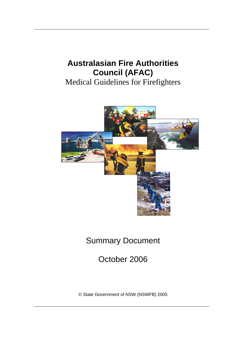# **Australasian Fire Authorities Council (AFAC)**

Medical Guidelines for Firefighters



# Summary Document

October 2006

© State Government of NSW (NSWFB) 2005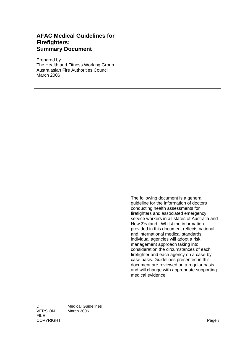### **AFAC Medical Guidelines for Firefighters: Summary Document**

Prepared by The Health and Fitness Working Group Australasian Fire Authorities Council March 2006

> The following document is a general guideline for the information of doctors conducting health assessments for firefighters and associated emergency service workers in all states of Australia and New Zealand. Whilst the information provided in this document reflects national and international medical standards, individual agencies will adopt a risk management approach taking into consideration the circumstances of each firefighter and each agency on a case-bycase basis. Guidelines presented in this document are reviewed on a regular basis and will change with appropriate supporting medical evidence.

DI Medical Guidelines VERSION March 2006 FILE COPYRIGHT Page i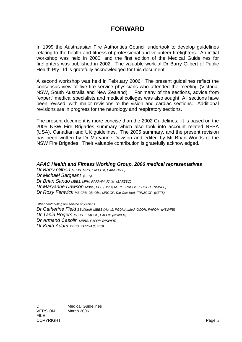## **FORWARD**

In 1999 the Australasian Fire Authorities Council undertook to develop guidelines relating to the health and fitness of professional and volunteer firefighters. An initial workshop was held in 2000, and the first edition of the Medical Guidelines for firefighters was published in 2002. The valuable work of Dr Barry Gilbert of Public Health Pty Ltd is gratefully acknowledged for this document.

A second workshop was held in February 2006. The present guidelines reflect the consensus view of five fire service physicians who attended the meeting (Victoria, NSW, South Australia and New Zealand). For many of the sections, advice from "expert" medical specialists and medical colleges was also sought. All sections have been revised, with major revisions to the vision and cardiac sections. Additional revisions are in progress for the neurology and respiratory sections.

The present document is more concise than the 2002 Guidelines. It is based on the 2005 NSW Fire Brigades summary which also took into account related NFPA (USA), Canadian and UK guidelines. The 2005 summary, and the present revision has been written by Dr Maryanne Dawson and edited by Mr Brian Woods of the NSW Fire Brigades. Their valuable contribution is gratefully acknowledged.

#### *AFAC Health and Fitness Working Group, 2006 medical representatives*

*Dr Barry Gilbert MBBS, MPH, FAFPHM, FAIM (MFB) Dr Michael Sargeant (CFS) Dr Brian Sando MBBS, MPH, FAFPHM, FAIM (SAFESC) Dr Maryanne Dawson MBBS, BPE (Hons) M Ed, FRACGP, GDOEH (NSWFB) Dr Rosy Fenwick MB ChB, Dip Obs, MRCGP, Dip Occ Med, FRNZCGP (NZFS)* 

*Other contributing fire service physicians* 

- *Dr Catherine Field BSc(Med) MBBS (Hons), PGDipAvMed, GCOH, FAFOM (NSWFB)*
- *Dr Tania Rogers MBBS, FRACGP, FAFOM (NSWFB)*
- *Dr Armand Casolin MBBS, FAFOM (NSWFB)*
- *Dr Keith Adam MBBS, FAFOM (QFES)*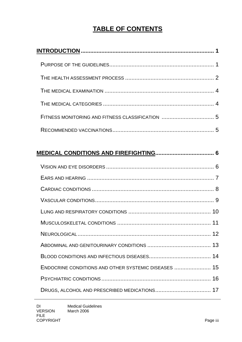## **TABLE OF CONTENTS**

| ENDOCRINE CONDITIONS AND OTHER SYSTEMIC DISEASES  15 |  |
|------------------------------------------------------|--|
|                                                      |  |
|                                                      |  |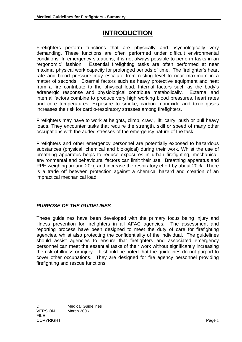## **INTRODUCTION**

<span id="page-4-0"></span>Firefighters perform functions that are physically and psychologically very demanding. These functions are often performed under difficult environmental conditions. In emergency situations, it is not always possible to perform tasks in an "ergonomic" fashion. Essential firefighting tasks are often performed at near maximal physical work capacity for prolonged periods of time. The firefighter's heart rate and blood pressure may escalate from resting level to near maximum in a matter of seconds. External factors such as heavy protective equipment and heat from a fire contribute to the physical load. Internal factors such as the body's adrenergic response and physiological contribute metabolically. External and internal factors combine to produce very high working blood pressures, heart rates and core temperatures. Exposure to smoke, carbon monoxide and toxic gases increases the risk for cardio-respiratory stresses among firefighters.

Firefighters may have to work at heights, climb, crawl, lift, carry, push or pull heavy loads. They encounter tasks that require the strength, skill or speed of many other occupations with the added stresses of the emergency nature of the task.

Firefighters and other emergency personnel are potentially exposed to hazardous substances (physical, chemical and biological) during their work. Whilst the use of breathing apparatus helps to reduce exposures in urban firefighting, mechanical, environmental and behavioural factors can limit their use. Breathing apparatus and PPE weighing around 20kg and increase the respiratory effort by about 20%. There is a trade off between protection against a chemical hazard and creation of an impractical mechanical load.

### *PURPOSE OF THE GUIDELINES*

These guidelines have been developed with the primary focus being injury and illness prevention for firefighters in all AFAC agencies. The assessment and reporting process have been designed to meet the duty of care for firefighting agencies, whilst also protecting the confidentiality of the individual. The guidelines should assist agencies to ensure that firefighters and associated emergency personnel can meet the essential tasks of their work without significantly increasing the risk of illness or injury. It should be noted that the guidelines do not purport to cover other occupations. They are designed for fire agency personnel providing firefighting and rescue functions.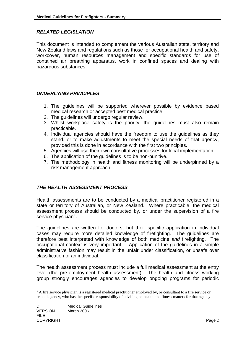#### *RELATED LEGISLATION*

This document is intended to complement the various Australian state, territory and New Zealand laws and regulations such as those for occupational health and safety, workcover, human resources management and specific standards for use of contained air breathing apparatus, work in confined spaces and dealing with hazardous substances.

#### *UNDERLYING PRINCIPLES*

- 1. The guidelines will be supported wherever possible by evidence based medical research or accepted best medical practice.
- 2. The guidelines will undergo regular review.
- 3. Whilst workplace safety is the priority, the guidelines must also remain practicable.
- 4. Individual agencies should have the freedom to use the guidelines as they stand, or to make adjustments to meet the special needs of that agency, provided this is done in accordance with the first two principles.
- 5. Agencies will use their own consultative processes for local implementation.
- 6. The application of the guidelines is to be non-punitive.
- 7. The methodology in health and fitness monitoring will be underpinned by a risk management approach.

#### *THE HEALTH ASSESSMENT PROCESS*

Health assessments are to be conducted by a medical practitioner registered in a state or territory of Australian, or New Zealand. Where practicable, the medical assessment process should be conducted by, or under the supervision of a fire service physician<sup>[1](#page-5-0)</sup>.

The guidelines are written for doctors, but their specific application in individual cases may require more detailed knowledge of firefighting. The guidelines are therefore best interpreted with knowledge of both medicine *and* firefighting. The occupational context is very important. Application of the guidelines in a simple administrative fashion may result in the unfair under classification, or unsafe over classification of an individual.

The health assessment process must include a full medical assessment at the entry level (the pre-employment health assessment). The health and fitness working group strongly encourages agencies to develop ongoing programs for periodic

l

<span id="page-5-0"></span> $<sup>1</sup>$  A fire service physician is a registered medical practitioner employed by, or consultant to a fire service or</sup> related agency, who has the specific responsibility of advising on health and fitness matters for that agency.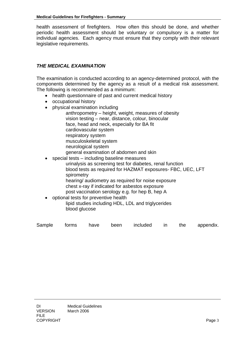health assessment of firefighters. How often this should be done, and whether periodic health assessment should be voluntary or compulsory is a matter for individual agencies. Each agency must ensure that they comply with their relevant legislative requirements.

#### *THE MEDICAL EXAMINATION*

The examination is conducted according to an agency-determined protocol, with the components determined by the agency as a result of a medical risk assessment. The following is recommended as a minimum:

- health questionnaire of past and current medical history
- occupational history
- physical examination including
	- anthropometry height, weight, measures of obesity vision testing – near, distance, colour, binocular face, head and neck, especially for BA fit cardiovascular system respiratory system musculoskeletal system neurological system general examination of abdomen and skin
	- special tests including baseline measures urinalysis as screening test for diabetes, renal function blood tests as required for HAZMAT exposures- FBC, UEC, LFT spirometry hearing/ audiometry as required for noise exposure chest x-ray if indicated for asbestos exposure

post vaccination serology e.g. for hep B, hep A

• optional tests for preventive health lipid studies including HDL, LDL and triglycerides blood glucose

|  |  | Sample forms have been included in the appendix. |  |  |
|--|--|--------------------------------------------------|--|--|
|  |  |                                                  |  |  |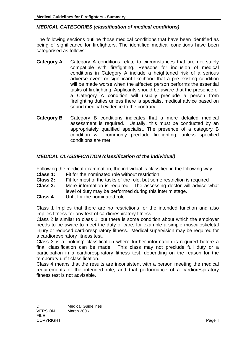#### <span id="page-7-0"></span>*MEDICAL CATEGORIES (classification of medical conditions)*

The following sections outline those medical conditions that have been identified as being of significance for firefighters. The identified medical conditions have been categorised as follows:

- **Category A** Category A conditions relate to circumstances that are not safely compatible with firefighting. Reasons for inclusion of medical conditions in Category A include a heightened risk of a serious adverse event or significant likelihood that a pre-existing condition will be made worse when the affected person performs the essential tasks of firefighting. Applicants should be aware that the presence of a Category A condition will usually preclude a person from firefighting duties unless there is specialist medical advice based on sound medical evidence to the contrary.
- **Category B** Category B conditions indicates that a more detailed medical assessment is required. Usually, this must be conducted by an appropriately qualified specialist. The presence of a category B condition will commonly preclude firefighting, unless specified conditions are met.

#### *MEDICAL CLASSIFICATION (classification of the individual)*

Following the medical examination, the individual is classified in the following way :

- **Class 1:** Fit for the nominated role without restriction
- **Class 2:** Fit for most of the tasks of the role, but some restriction is required
- **Class 3:** More information is required. The assessing doctor will advise what level of duty may be performed during this interim stage.
- **Class 4** Unfit for the nominated role.

Class 1 Implies that there are no restrictions for the intended function and also implies fitness for any test of cardiorespiratory fitness.

Class 2 is similar to class 1, but there is some condition about which the employer needs to be aware to meet the duty of care, for example a simple musculoskeletal injury or reduced cardiorespiratory fitness. Medical supervision may be required for a cardiorespiratory fitness test.

Class 3 is a 'holding' classification where further information is required before a final classification can be made. This class may not preclude full duty or a participation in a cardiorespiratory fitness test, depending on the reason for the temporary unfit classification.

Class 4 means that the results are inconsistent with a person meeting the medical requirements of the intended role, and that performance of a cardiorespiratory fitness test is not advisable.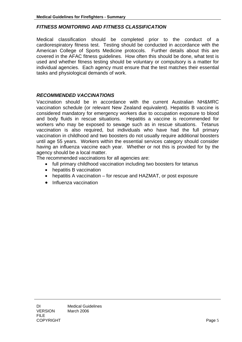#### *FITNESS MONITORING AND FITNESS CLASSIFICATION*

Medical classification should be completed prior to the conduct of a cardiorespiratory fitness test. Testing should be conducted in accordance with the American College of Sports Medicine protocols. Further details about this are covered in the AFAC fitness guidelines. How often this should be done, what test is used and whether fitness testing should be voluntary or compulsory is a matter for individual agencies. Each agency must ensure that the test matches their essential tasks and physiological demands of work.

#### *RECOMMENDED VACCINATIONS*

Vaccination should be in accordance with the current Australian NH&MRC vaccination schedule (or relevant New Zealand equivalent). Hepatitis B vaccine is considered mandatory for emergency workers due to occupation exposure to blood and body fluids in rescue situations. Hepatitis a vaccine is recommended for workers who may be exposed to sewage such as in rescue situations. Tetanus vaccination is also required, but individuals who have had the full primary vaccination in childhood and two boosters do not usually require additional boosters until age 55 years. Workers within the essential services category should consider having an influenza vaccine each year. Whether or not this is provided for by the agency should be a local matter.

The recommended vaccinations for all agencies are:

- full primary childhood vaccination including two boosters for tetanus
- hepatitis B vaccination
- hepatitis A vaccination for rescue and HAZMAT, or post exposure
- Influenza vaccination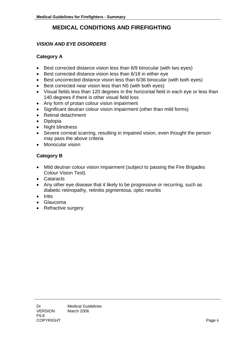### **MEDICAL CONDITIONS AND FIREFIGHTING**

#### <span id="page-9-0"></span>*VISION AND EYE DISORDERS*

#### **Category A**

- Best corrected distance vision less than 6/9 binocular (with two eyes)
- Best corrected distance vision less than 6/18 in either eye
- Best uncorrected distance vision less than 6/36 binocular (with both eyes)
- Best corrected near vision less than N5 (with both eyes)
- Visual fields less than 120 degrees in the horizontal field in each eye or less than 140 degrees if there is other visual field loss
- Any form of protan colour vision impairment
- Significant deutran colour vision impairment (other than mild forms)
- Retinal detachment
- Diplopia
- Night blindness
- Severe corneal scarring, resulting in impaired vision, even thought the person may pass the above criteria
- Monocular vision

- Mild deutran colour vision impairment (subject to passing the Fire Brigades Colour Vision Test)
- Cataracts
- Any other eye disease that it likely to be progressive or recurring, such as diabetic retinopathy, retinitis pigmentosa, optic neuritis
- Iritis
- Glaucoma
- Refractive surgery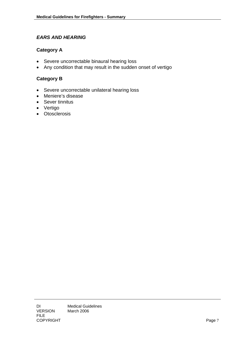#### <span id="page-10-0"></span>*EARS AND HEARING*

#### **Category A**

- Severe uncorrectable binaural hearing loss
- Any condition that may result in the sudden onset of vertigo

- Severe uncorrectable unilateral hearing loss
- Meniere's disease
- Sever tinnitus
- Vertigo
- Otosclerosis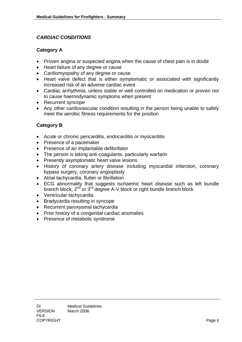#### <span id="page-11-0"></span>*CARDIAC CONDITIONS*

#### **Category A**

- Proven angina or suspected angina when the cause of chest pain is in doubt
- Heart failure of any degree or cause
- Cardiomyopathy of any degree or cause
- Heart valve defect that is either symptomatic or associated with significantly increased risk of an adverse cardiac event
- Cardiac arrhythmia, unless stable or well controlled on medication or proven not to cause haemodynamic symptoms when present
- Recurrent syncope
- Any other cardiovascular condition resulting in the person being unable to safely meet the aerobic fitness requirements for the position

- Acute or chronic pericarditis, endocarditis or myocarditis
- Presence of a pacemaker
- Presence of an implantable defibrillator
- The person is taking anti-coagulants, particularly warfarin
- Presently asymptomatic heart valve lesions
- History of coronary artery disease including myocardial infarction, coronary bypass surgery, coronary angioplasty
- Atrial tachycardia, flutter or fibrillation
- ECG abnormality that suggests ischaemic heart disease such as left bundle branch block, 2<sup>nd</sup> or 3<sup>rd</sup> degree A-V block or right bundle branch block
- Ventricular tachycardia
- Bradycardia resulting in syncope
- Recurrent paroxysmal tachycardia
- Prior history of a congenital cardiac anomalies
- Presence of metabolic syndrome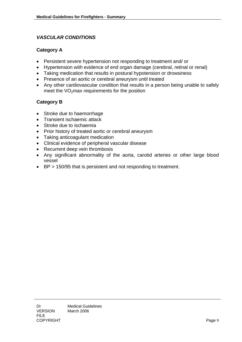#### <span id="page-12-0"></span>*VASCULAR CONDITIONS*

#### **Category A**

- Persistent severe hypertension not responding to treatment and/ or
- Hypertension with evidence of end organ damage (cerebral, retinal or renal)
- Taking medication that results in postural hypotension or drowsiness
- Presence of an aortic or cerebral aneurysm until treated
- Any other cardiovascular condition that results in a person being unable to safely meet the  $VO<sub>2</sub>$  max requirements for the position

- Stroke due to haemorrhage
- Transient ischaemic attack
- Stroke due to ischaemia
- Prior history of treated aortic or cerebral aneurysm
- Taking anticoagulant medication
- Clinical evidence of peripheral vascular disease
- Recurrent deep vein thrombosis
- Any significant abnormality of the aorta, carotid arteries or other large blood vessel
- BP > 150/95 that is persistent and not responding to treatment.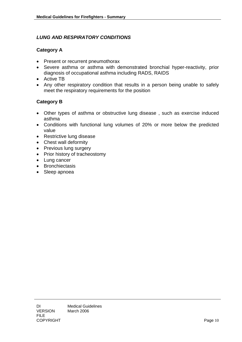#### <span id="page-13-0"></span>*LUNG AND RESPIRATORY CONDITIONS*

#### **Category A**

- Present or recurrent pneumothorax
- Severe asthma or asthma with demonstrated bronchial hyper-reactivity, prior diagnosis of occupational asthma including RADS, RAIDS
- Active TB
- Any other respiratory condition that results in a person being unable to safely meet the respiratory requirements for the position

- Other types of asthma or obstructive lung disease , such as exercise induced asthma
- Conditions with functional lung volumes of 20% or more below the predicted value
- Restrictive lung disease
- Chest wall deformity
- Previous lung surgery
- Prior history of tracheostomy
- Lung cancer
- Bronchiectasis
- Sleep apnoea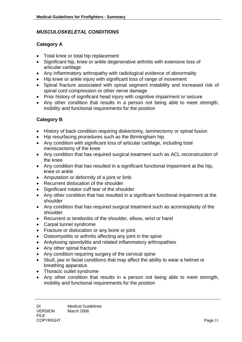#### <span id="page-14-0"></span>*MUSCULOSKELETAL CONDITIONS*

#### **Category A**

- Total knee or total hip replacement
- Significant hip, knee or ankle degenerative arthritis with extensive loss of articular cartilage
- Any inflammatory arthropathy with radiological evidence of abnormality
- Hip knee or ankle injury with significant loss of range of movement
- Spinal fracture associated with spinal segment instability and increased risk of spinal cord compression or other nerve damage
- Prior history of significant head injury with cognitive impairment or seizure
- Any other condition that results in a person not being able to meet strength, mobility and functional requirements for the position

- History of back condition requiring diskectomy, laminectomy or spinal fusion
- Hip resurfacing procedures such as the Birmingham hip.
- Any condition with significant loss of articular cartilage, including total meniscectomy of the knee
- Any condition that has required surgical treatment such as ACL reconstruction of the knee
- Any condition that has resulted in a significant functional impairment at the hip, knee or ankle
- Amputation or deformity of a joint or limb
- Recurrent dislocation of the shoulder
- Significant rotator cuff tear of the shoulder
- Any other condition that has resulted in a significant functional impairment at the shoulder
- Any condition that has required surgical treatment such as acromioplasty of the shoulder
- Recurrent or tendonitis of the shoulder, elbow, wrist or hand
- Carpal tunnel syndrome
- Fracture or dislocation or any bone or joint
- Osteomyelitis or arthritis affecting any joint in the spine
- Ankylosing spondylitis and related inflammatory arthropathies
- Any other spinal fracture
- Any condition requiring surgery of the cervical spine
- Skull, jaw or facial conditions that may affect the ability to wear a helmet or breathing apparatus
- Thoracic outlet syndrome
- Any other condition that results in a person not being able to meet strength, mobility and functional requirements for the position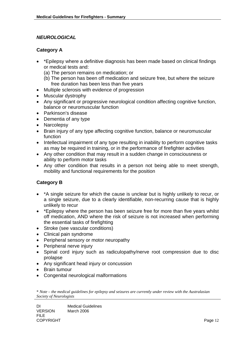#### <span id="page-15-0"></span>*NEUROLOGICAL*

#### **Category A**

- \*Epilepsy where a definitive diagnosis has been made based on clinical findings or medical tests and:
	- (a) The person remains on medication; or
	- (b) The person has been off medication and seizure free, but where the seizure free duration has been less than five years
- Multiple sclerosis with evidence of progression
- Muscular dystrophy
- Any significant or progressive neurological condition affecting cognitive function, balance or neuromuscular function
- Parkinson's disease
- Dementia of any type
- Narcolepsy
- Brain injury of any type affecting cognitive function, balance or neuromuscular function
- Intellectual impairment of any type resulting in inability to perform cognitive tasks as may be required in training, or in the performance of firefighter activities
- Any other condition that may result in a sudden change in consciousness or ability to perform motor tasks
- Any other condition that results in a person not being able to meet strength, mobility and functional requirements for the position

#### **Category B**

- \*A single seizure for which the cause is unclear but is highly unlikely to recur, or a single seizure, due to a clearly identifiable, non-recurring cause that is highly unlikely to recur
- \*Epilepsy where the person has been seizure free for more than five years whilst off medication, AND where the risk of seizure is not increased when performing the essential tasks of firefighting
- Stroke (see vascular conditions)
- Clinical pain syndrome
- Peripheral sensory or motor neuropathy
- Peripheral nerve injury
- Spinal cord injury such as radiculopathy/nerve root compression due to disc prolapse
- Any significant head injury or concussion
- Brain tumour
- Congenital neurological malformations

\* *Note – the medical guidelines for epilepsy and seizures are currently under review with the Australasian Society of Neurologists*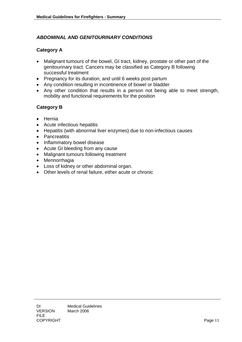#### <span id="page-16-0"></span>*ABDOMINAL AND GENITOURINARY CONDITIONS*

#### **Category A**

- Malignant tumours of the bowel, GI tract, kidney, prostate or other part of the genitourinary tract. Cancers may be classified as Category B following successful treatment
- Pregnancy for its duration, and until 6 weeks post partum
- Any condition resulting in incontinence of bowel or bladder
- Any other condition that results in a person not being able to meet strength, mobility and functional requirements for the position

- Hernia
- Acute infectious hepatitis
- Hepatitis (with abnormal liver enzymes) due to non-infectious causes
- Pancreatitis
- Inflammatory bowel disease
- Acute GI bleeding from any cause
- Malignant tumours following treatment
- Mennorrhagia
- Loss of kidney or other abdominal organ.
- Other levels of renal failure, either acute or chronic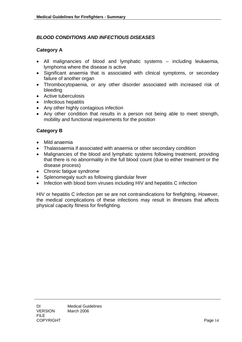#### <span id="page-17-0"></span>*BLOOD CONDITIONS AND INFECTIOUS DISEASES*

#### **Category A**

- All malignancies of blood and lymphatic systems including leukaemia, lymphoma where the disease is active
- Significant anaemia that is associated with clinical symptoms, or secondary failure of another organ
- Thrombocytopaenia, or any other disorder associated with increased risk of bleeding
- Active tuberculosis
- Infectious hepatitis
- Any other highly contagious infection
- Any other condition that results in a person not being able to meet strength, mobility and functional requirements for the position

#### **Category B**

- Mild anaemia
- Thalassaemia if associated with anaemia or other secondary condition
- Malignancies of the blood and lymphatic systems following treatment, providing that there is no abnormality in the full blood count (due to either treatment or the disease process)
- Chronic fatigue syndrome
- Splenomegaly such as following glandular fever
- Infection with blood born viruses including HIV and hepatitis C infection

HIV or hepatitis C infection per se are not contraindications for firefighting. However, the medical complications of these infections may result in illnesses that affects physical capacity fitness for firefighting.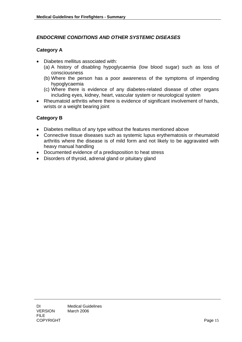#### <span id="page-18-0"></span>*ENDOCRINE CONDITIONS AND OTHER SYSTEMIC DISEASES*

#### **Category A**

- Diabetes mellitus associated with:
	- (a) A history of disabling hypoglycaemia (low blood sugar) such as loss of consciousness
	- (b) Where the person has a poor awareness of the symptoms of impending hypoglycaemia
	- (c) Where there is evidence of any diabetes-related disease of other organs including eyes, kidney, heart, vascular system or neurological system
- Rheumatoid arthritis where there is evidence of significant involvement of hands, wrists or a weight bearing joint

- Diabetes mellitus of any type without the features mentioned above
- Connective tissue diseases such as systemic lupus erythematosis or rheumatoid arthritis where the disease is of mild form and not likely to be aggravated with heavy manual handling
- Documented evidence of a predisposition to heat stress
- Disorders of thyroid, adrenal gland or pituitary gland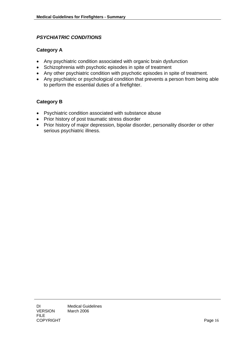#### <span id="page-19-0"></span>*PSYCHIATRIC CONDITIONS*

#### **Category A**

- Any psychiatric condition associated with organic brain dysfunction
- Schizophrenia with psychotic episodes in spite of treatment
- Any other psychiatric condition with psychotic episodes in spite of treatment.
- Any psychiatric or psychological condition that prevents a person from being able to perform the essential duties of a firefighter.

- Psychiatric condition associated with substance abuse
- Prior history of post traumatic stress disorder
- Prior history of major depression, bipolar disorder, personality disorder or other serious psychiatric illness.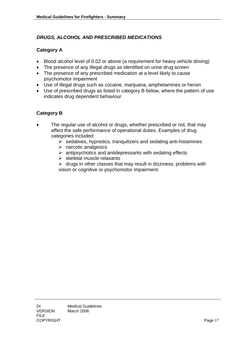#### <span id="page-20-0"></span>*DRUGS, ALCOHOL AND PRESCRIBED MEDICATIONS*

#### **Category A**

- Blood alcohol level of 0.02 or above (a requirement for heavy vehicle driving)
- The presence of any illegal drugs as identified on urine drug screen
- The presence of any prescribed medication at a level likely to cause psychomotor impairment
- Use of illegal drugs such as cocaine, marijuana, amphetamines or heroin
- Use of prescribed drugs as listed in category B below, where the pattern of use indicates drug dependent behaviour

#### **Category B**

- The regular use of alcohol or drugs, whether prescribed or not, that may affect the safe performance of operational duties. Examples of drug categories included:
	- $\triangleright$  sedatives, hypnotics, tranquilizers and sedating anti-histamines
	- $\triangleright$  narcotic analgesics
	- $\triangleright$  antipsychotics and antidepressants with sedating effects
	- $\triangleright$  skeletal muscle relaxants

 $\triangleright$  drugs in other classes that may result in dizziness, problems with vision or cognitive or psychomotor impairment.